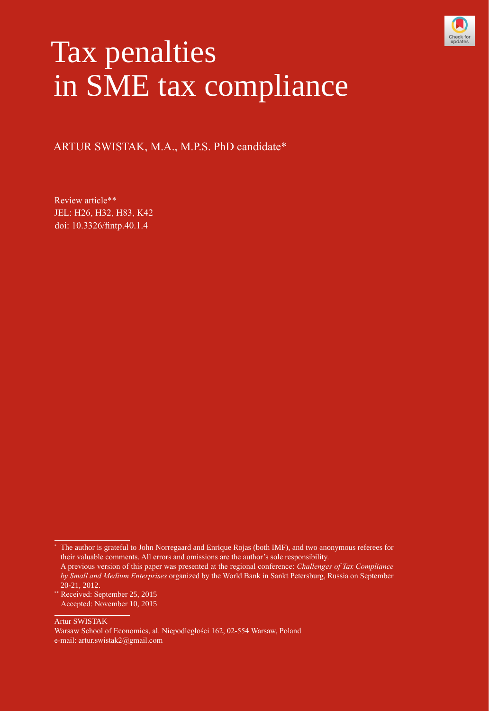

# Tax penalties in SME tax compliance

ARTUR SWISTAK, M.A., M.P.S. PhD candidate\*

Review article\*\* JEL: H26, H32, H83, K42 doi: [10.3326/fintp.40.1.4](http://dx.doi.org/10.3326/fintp.40.1.4)

Artur SWISTAK

<sup>\*</sup> The author is grateful to John Norregaard and Enrique Rojas (both IMF), and two anonymous referees for their valuable comments. All errors and omissions are the author's sole responsibility.

A previous version of this paper was presented at the regional conference: *Challenges of Tax Compliance by Small and Medium Enterprises* organized by the World Bank in Sankt Petersburg, Russia on September 20-21, 2012.

<sup>\*\*</sup> Received: September 25, 2015 Accepted: November 10, 2015

Warsaw School of Economics, al. Niepodległości 162, 02-554 Warsaw, Poland e-mail: artur.swistak2@gmail.com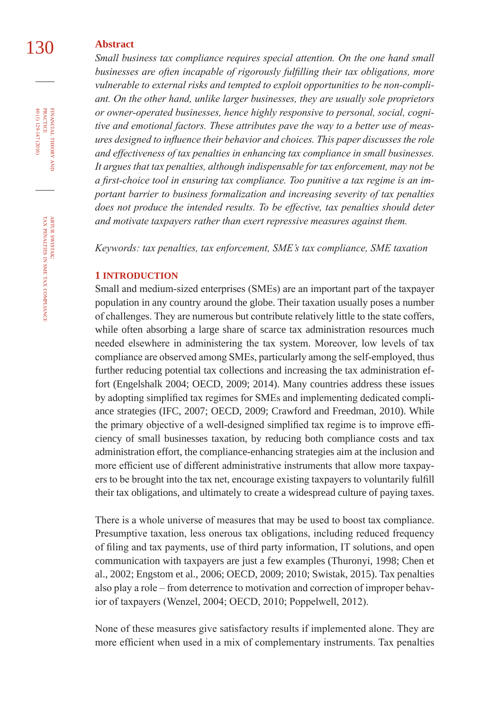## 130 **abstract**

*Small business tax compliance requires special attention. On the one hand small businesses are often incapable of rigorously fulfilling their tax obligations, more vulnerable to external risks and tempted to exploit opportunities to be non-compliant. On the other hand, unlike larger businesses, they are usually sole proprietors or owner-operated businesses, hence highly responsive to personal, social, cognitive and emotional factors. These attributes pave the way to a better use of measures designed to influence their behavior and choices. This paper discusses the role and effectiveness of tax penalties in enhancing tax compliance in small businesses. It argues that tax penalties, although indispensable for tax enforcement, may not be a first-choice tool in ensuring tax compliance. Too punitive a tax regime is an important barrier to business formalization and increasing severity of tax penalties*  does not produce the intended results. To be effective, tax penalties should deter *and motivate taxpayers rather than exert repressive measures against them.*

*Keywords: tax penalties, tax enforcement, SME's tax compliance, SME taxation* 

#### **1 IntRoDUctIon**

Small and medium-sized enterprises (SMEs) are an important part of the taxpayer population in any country around the globe. Their taxation usually poses a number of challenges. They are numerous but contribute relatively little to the state coffers, while often absorbing a large share of scarce tax administration resources much needed elsewhere in administering the tax system. Moreover, low levels of tax compliance are observed among SMEs, particularly among the self-employed, thus further reducing potential tax collections and increasing the tax administration effort (Engelshalk 2004; OECD, 2009; 2014). Many countries address these issues by adopting simplified tax regimes for SMEs and implementing dedicated compliance strategies (IFC, 2007; OECD, 2009; Crawford and Freedman, 2010). While the primary objective of a well-designed simplified tax regime is to improve efficiency of small businesses taxation, by reducing both compliance costs and tax administration effort, the compliance-enhancing strategies aim at the inclusion and more efficient use of different administrative instruments that allow more taxpayers to be brought into the tax net, encourage existing taxpayers to voluntarily fulfill their tax obligations, and ultimately to create a widespread culture of paying taxes.

There is a whole universe of measures that may be used to boost tax compliance. Presumptive taxation, less onerous tax obligations, including reduced frequency of filing and tax payments, use of third party information, IT solutions, and open communication with taxpayers are just a few examples (Thuronyi, 1998; Chen et al., 2002; Engstom et al., 2006; OECD, 2009; 2010; Swistak, 2015). Tax penalties also play a role – from deterrence to motivation and correction of improper behavior of taxpayers (Wenzel, 2004; OECD, 2010; Poppelwell, 2012).

None of these measures give satisfactory results if implemented alone. They are more efficient when used in a mix of complementary instruments. Tax penalties

financial

40 (1) 129-147 (2016) practice

 $40(1)129-147(2016)$ FINANCIAL THEORY<br>PRACTICE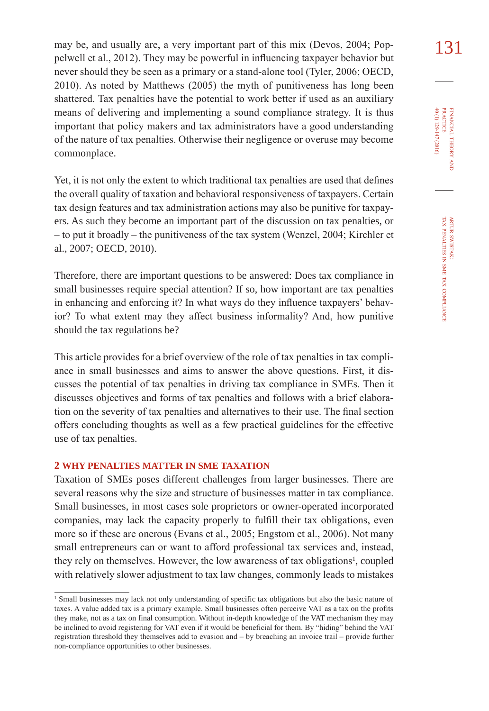may be, and usually are, a very important part of this mix (Devos, 2004; Pop131 pelwell et al., 2012). They may be powerful in influencing taxpayer behavior but never should they be seen as a primary or a stand-alone tool (Tyler, 2006; OECD, 2010). As noted by Matthews (2005) the myth of punitiveness has long been shattered. Tax penalties have the potential to work better if used as an auxiliary means of delivering and implementing a sound compliance strategy. It is thus important that policy makers and tax administrators have a good understanding of the nature of tax penalties. Otherwise their negligence or overuse may become commonplace.

Yet, it is not only the extent to which traditional tax penalties are used that defines the overall quality of taxation and behavioral responsiveness of taxpayers. Certain tax design features and tax administration actions may also be punitive for taxpayers. As such they become an important part of the discussion on tax penalties, or – to put it broadly – the punitiveness of the tax system (Wenzel, 2004; Kirchler et al., 2007; OECD, 2010).

Therefore, there are important questions to be answered: Does tax compliance in small businesses require special attention? If so, how important are tax penalties in enhancing and enforcing it? In what ways do they influence taxpayers' behavior? To what extent may they affect business informality? And, how punitive should the tax regulations be?

This article provides for a brief overview of the role of tax penalties in tax compliance in small businesses and aims to answer the above questions. First, it discusses the potential of tax penalties in driving tax compliance in SMEs. Then it discusses objectives and forms of tax penalties and follows with a brief elaboration on the severity of tax penalties and alternatives to their use. The final section offers concluding thoughts as well as a few practical guidelines for the effective use of tax penalties.

#### **2 WHY PenaltIes MatteR In sMe taXatIon**

Taxation of SMEs poses different challenges from larger businesses. There are several reasons why the size and structure of businesses matter in tax compliance. Small businesses, in most cases sole proprietors or owner-operated incorporated companies, may lack the capacity properly to fulfill their tax obligations, even more so if these are onerous (Evans et al., 2005; Engstom et al., 2006). Not many small entrepreneurs can or want to afford professional tax services and, instead, they rely on themselves. However, the low awareness of tax obligations<sup>1</sup>, coupled with relatively slower adjustment to tax law changes, commonly leads to mistakes

<sup>&</sup>lt;sup>1</sup> Small businesses may lack not only understanding of specific tax obligations but also the basic nature of taxes. A value added tax is a primary example. Small businesses often perceive VAT as a tax on the profits they make, not as a tax on final consumption. Without in-depth knowledge of the VAT mechanism they may be inclined to avoid registering for VAT even if it would be beneficial for them. By "hiding" behind the VAT registration threshold they themselves add to evasion and – by breaching an invoice trail – provide further non-compliance opportunities to other businesses.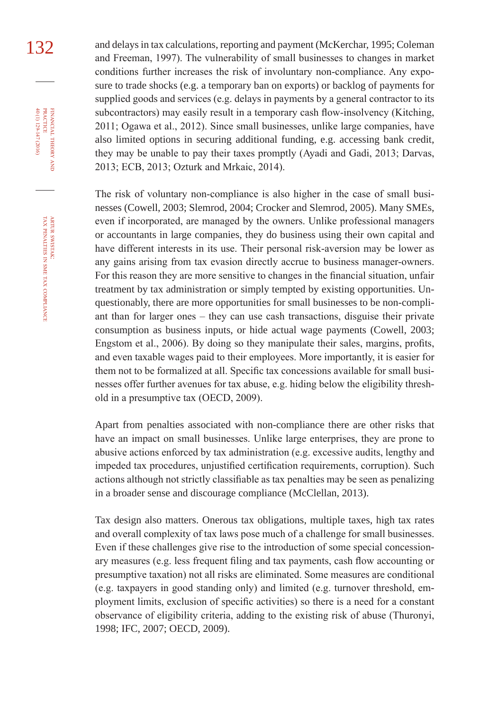132 and delays in tax calculations, reporting and payment (McKerchar, 1995; Coleman and Freeman, 1997). The vulnerability of small businesses to changes in market conditions further increases the risk of involuntary non-compliance. Any exposure to trade shocks (e.g. a temporary ban on exports) or backlog of payments for supplied goods and services (e.g. delays in payments by a general contractor to its subcontractors) may easily result in a temporary cash flow-insolvency (Kitching, 2011; Ogawa et al., 2012). Since small businesses, unlike large companies, have also limited options in securing additional funding, e.g. accessing bank credit, they may be unable to pay their taxes promptly (Ayadi and Gadi, 2013; Darvas, 2013; ECB, 2013; Ozturk and Mrkaic, 2014).

> The risk of voluntary non-compliance is also higher in the case of small businesses (Cowell, 2003; Slemrod, 2004; Crocker and Slemrod, 2005). Many SMEs, even if incorporated, are managed by the owners. Unlike professional managers or accountants in large companies, they do business using their own capital and have different interests in its use. Their personal risk-aversion may be lower as any gains arising from tax evasion directly accrue to business manager-owners. For this reason they are more sensitive to changes in the financial situation, unfair treatment by tax administration or simply tempted by existing opportunities. Unquestionably, there are more opportunities for small businesses to be non-compliant than for larger ones – they can use cash transactions, disguise their private consumption as business inputs, or hide actual wage payments (Cowell, 2003; Engstom et al., 2006). By doing so they manipulate their sales, margins, profits, and even taxable wages paid to their employees. More importantly, it is easier for them not to be formalized at all. Specific tax concessions available for small businesses offer further avenues for tax abuse, e.g. hiding below the eligibility threshold in a presumptive tax (OECD, 2009).

> Apart from penalties associated with non-compliance there are other risks that have an impact on small businesses. Unlike large enterprises, they are prone to abusive actions enforced by tax administration (e.g. excessive audits, lengthy and impeded tax procedures, unjustified certification requirements, corruption). Such actions although not strictly classifiable as tax penalties may be seen as penalizing in a broader sense and discourage compliance (McClellan, 2013).

> Tax design also matters. Onerous tax obligations, multiple taxes, high tax rates and overall complexity of tax laws pose much of a challenge for small businesses. Even if these challenges give rise to the introduction of some special concessionary measures (e.g. less frequent filing and tax payments, cash flow accounting or presumptive taxation) not all risks are eliminated. Some measures are conditional (e.g. taxpayers in good standing only) and limited (e.g. turnover threshold, employment limits, exclusion of specific activities) so there is a need for a constant observance of eligibility criteria, adding to the existing risk of abuse (Thuronyi, 1998; IFC, 2007; OECD, 2009).

financial

40 (1) 129-147 (2016) practice

40 (1) 129-147 (2016) FINANCIAL THEORY<br>PRACTICE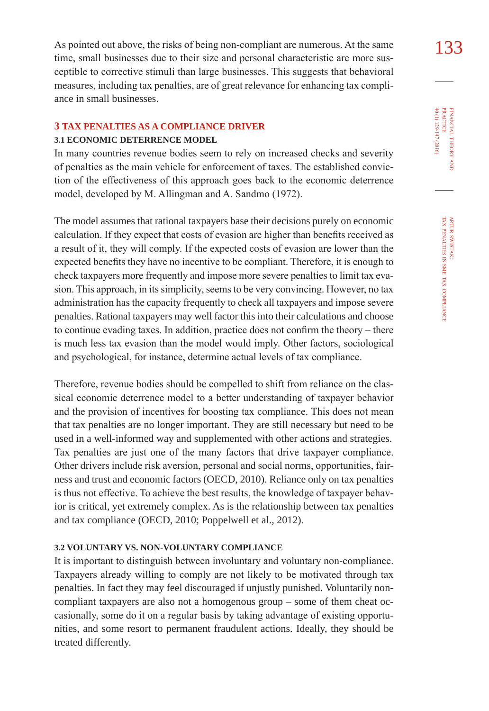As pointed out above, the risks of being non-compliant are numerous. At the same 133 time, small businesses due to their size and personal characteristic are more susceptible to corrective stimuli than large businesses. This suggests that behavioral measures, including tax penalties, are of great relevance for enhancing tax compliance in small businesses.

### **3 taX PenaltIes as a coMPlIance DRIVeR**

#### **3.1 econoMIc DeteRRence MoDel**

In many countries revenue bodies seem to rely on increased checks and severity of penalties as the main vehicle for enforcement of taxes. The established conviction of the effectiveness of this approach goes back to the economic deterrence model, developed by M. Allingman and A. Sandmo (1972).

The model assumes that rational taxpayers base their decisions purely on economic calculation. If they expect that costs of evasion are higher than benefits received as a result of it, they will comply. If the expected costs of evasion are lower than the expected benefits they have no incentive to be compliant. Therefore, it is enough to check taxpayers more frequently and impose more severe penalties to limit tax evasion. This approach, in its simplicity, seems to be very convincing. However, no tax administration has the capacity frequently to check all taxpayers and impose severe penalties. Rational taxpayers may well factor this into their calculations and choose to continue evading taxes. In addition, practice does not confirm the theory – there is much less tax evasion than the model would imply. Other factors, sociological and psychological, for instance, determine actual levels of tax compliance.

Therefore, revenue bodies should be compelled to shift from reliance on the classical economic deterrence model to a better understanding of taxpayer behavior and the provision of incentives for boosting tax compliance. This does not mean that tax penalties are no longer important. They are still necessary but need to be used in a well-informed way and supplemented with other actions and strategies. Tax penalties are just one of the many factors that drive taxpayer compliance. Other drivers include risk aversion, personal and social norms, opportunities, fairness and trust and economic factors (OECD, 2010). Reliance only on tax penalties is thus not effective. To achieve the best results, the knowledge of taxpayer behavior is critical, yet extremely complex. As is the relationship between tax penalties and tax compliance (OECD, 2010; Poppelwell et al., 2012).

## **3.2 VolUntaRY Vs. non-VolUntaRY coMPlIance**

It is important to distinguish between involuntary and voluntary non-compliance. Taxpayers already willing to comply are not likely to be motivated through tax penalties. In fact they may feel discouraged if unjustly punished. Voluntarily noncompliant taxpayers are also not a homogenous group – some of them cheat occasionally, some do it on a regular basis by taking advantage of existing opportunities, and some resort to permanent fraudulent actions. Ideally, they should be treated differently.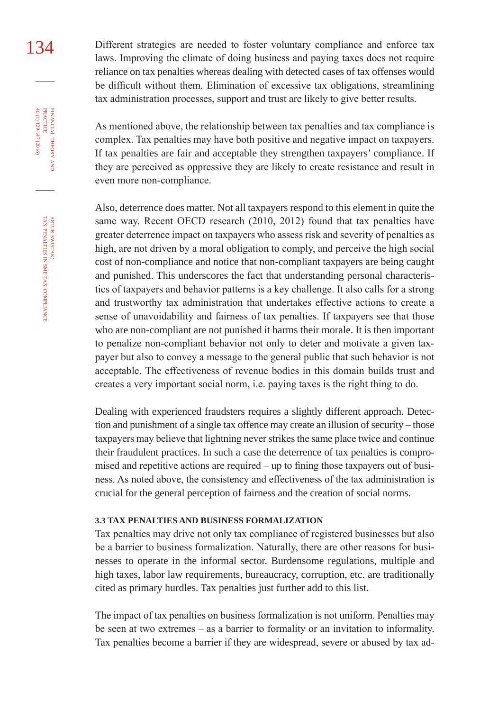134 Different strategies are needed to foster voluntary compliance and enforce tax laws. Improving the climate of doing business and paying taxes does not require reliance on tax penalties whereas dealing with detected cases of tax offenses would be difficult without them. Elimination of excessive tax obligations, streamlining tax administration processes, support and trust are likely to give better results.

> As mentioned above, the relationship between tax penalties and tax compliance is complex. Tax penalties may have both positive and negative impact on taxpayers. If tax penalties are fair and acceptable they strengthen taxpayers' compliance. If they are perceived as oppressive they are likely to create resistance and result in even more non-compliance.

> Also, deterrence does matter. Not all taxpayers respond to this element in quite the same way. Recent OECD research (2010, 2012) found that tax penalties have greater deterrence impact on taxpayers who assess risk and severity of penalties as high, are not driven by a moral obligation to comply, and perceive the high social cost of non-compliance and notice that non-compliant taxpayers are being caught and punished. This underscores the fact that understanding personal characteristics of taxpayers and behavior patterns is a key challenge. It also calls for a strong and trustworthy tax administration that undertakes effective actions to create a sense of unavoidability and fairness of tax penalties. If taxpayers see that those who are non-compliant are not punished it harms their morale. It is then important to penalize non-compliant behavior not only to deter and motivate a given taxpayer but also to convey a message to the general public that such behavior is not acceptable. The effectiveness of revenue bodies in this domain builds trust and creates a very important social norm, i.e. paying taxes is the right thing to do.

> Dealing with experienced fraudsters requires a slightly different approach. Detection and punishment of a single tax offence may create an illusion of security – those taxpayers may believe that lightning never strikes the same place twice and continue their fraudulent practices. In such a case the deterrence of tax penalties is compromised and repetitive actions are required – up to fining those taxpayers out of business. As noted above, the consistency and effectiveness of the tax administration is crucial for the general perception of fairness and the creation of social norms.

### **3.3 taX PenaltIes anD bUsIness foRMalIzatIon**

Tax penalties may drive not only tax compliance of registered businesses but also be a barrier to business formalization. Naturally, there are other reasons for businesses to operate in the informal sector. Burdensome regulations, multiple and high taxes, labor law requirements, bureaucracy, corruption, etc. are traditionally cited as primary hurdles. Tax penalties just further add to this list.

The impact of tax penalties on business formalization is not uniform. Penalties may be seen at two extremes – as a barrier to formality or an invitation to informality. Tax penalties become a barrier if they are widespread, severe or abused by tax ad-

financial

40 (1) 129-147 (2016) practice

40 (1) 129-147 (2016) FINANCIAL THEORY<br>PRACTICE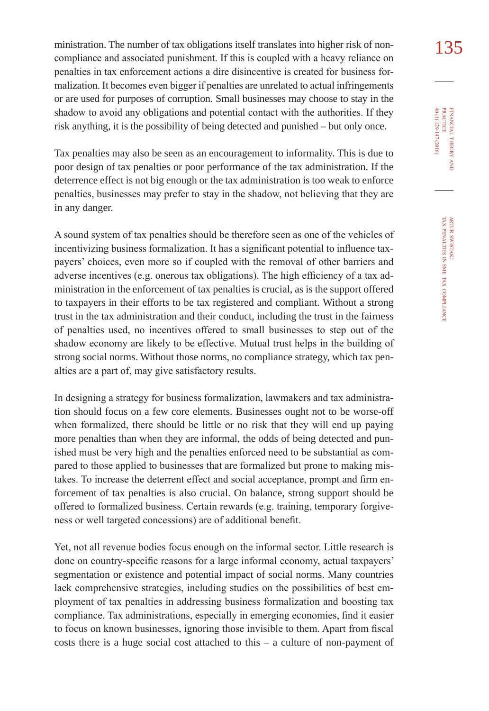ministration. The number of tax obligations itself translates into higher risk of non-<br>
135 compliance and associated punishment. If this is coupled with a heavy reliance on penalties in tax enforcement actions a dire disincentive is created for business formalization. It becomes even bigger if penalties are unrelated to actual infringements or are used for purposes of corruption. Small businesses may choose to stay in the shadow to avoid any obligations and potential contact with the authorities. If they risk anything, it is the possibility of being detected and punished – but only once.

Tax penalties may also be seen as an encouragement to informality. This is due to poor design of tax penalties or poor performance of the tax administration. If the deterrence effect is not big enough or the tax administration is too weak to enforce penalties, businesses may prefer to stay in the shadow, not believing that they are in any danger.

A sound system of tax penalties should be therefore seen as one of the vehicles of incentivizing business formalization. It has a significant potential to influence taxpayers' choices, even more so if coupled with the removal of other barriers and adverse incentives (e.g. onerous tax obligations). The high efficiency of a tax administration in the enforcement of tax penalties is crucial, as is the support offered to taxpayers in their efforts to be tax registered and compliant. Without a strong trust in the tax administration and their conduct, including the trust in the fairness of penalties used, no incentives offered to small businesses to step out of the shadow economy are likely to be effective. Mutual trust helps in the building of strong social norms. Without those norms, no compliance strategy, which tax penalties are a part of, may give satisfactory results.

In designing a strategy for business formalization, lawmakers and tax administration should focus on a few core elements. Businesses ought not to be worse-off when formalized, there should be little or no risk that they will end up paying more penalties than when they are informal, the odds of being detected and punished must be very high and the penalties enforced need to be substantial as compared to those applied to businesses that are formalized but prone to making mistakes. To increase the deterrent effect and social acceptance, prompt and firm enforcement of tax penalties is also crucial. On balance, strong support should be offered to formalized business. Certain rewards (e.g. training, temporary forgiveness or well targeted concessions) are of additional benefit.

Yet, not all revenue bodies focus enough on the informal sector. Little research is done on country-specific reasons for a large informal economy, actual taxpayers' segmentation or existence and potential impact of social norms. Many countries lack comprehensive strategies, including studies on the possibilities of best employment of tax penalties in addressing business formalization and boosting tax compliance. Tax administrations, especially in emerging economies, find it easier to focus on known businesses, ignoring those invisible to them. Apart from fiscal costs there is a huge social cost attached to this – a culture of non-payment of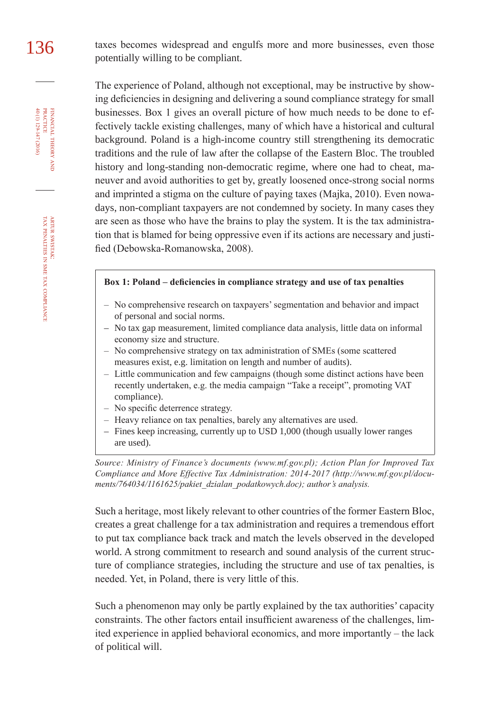136 taxes becomes widespread and engulfs more and more businesses, even those potentially willing to be compliant.

> The experience of Poland, although not exceptional, may be instructive by showing deficiencies in designing and delivering a sound compliance strategy for small businesses. Box 1 gives an overall picture of how much needs to be done to effectively tackle existing challenges, many of which have a historical and cultural background. Poland is a high-income country still strengthening its democratic traditions and the rule of law after the collapse of the Eastern Bloc. The troubled history and long-standing non-democratic regime, where one had to cheat, maneuver and avoid authorities to get by, greatly loosened once-strong social norms and imprinted a stigma on the culture of paying taxes (Majka, 2010). Even nowadays, non-compliant taxpayers are not condemned by society. In many cases they are seen as those who have the brains to play the system. It is the tax administration that is blamed for being oppressive even if its actions are necessary and justified (Debowska-Romanowska, 2008).

#### **Box 1: Poland – deficiencies in compliance strategy and use of tax penalties**

- No comprehensive research on taxpayers' segmentation and behavior and impact of personal and social norms.
- No tax gap measurement, limited compliance data analysis, little data on informal economy size and structure.
- No comprehensive strategy on tax administration of SMEs (some scattered measures exist, e.g. limitation on length and number of audits).
- Little communication and few campaigns (though some distinct actions have been recently undertaken, e.g. the media campaign "Take a receipt", promoting VAT compliance).
- No specific deterrence strategy.
- Heavy reliance on tax penalties, barely any alternatives are used.
- Fines keep increasing, currently up to USD 1,000 (though usually lower ranges are used).

*Source: Ministry of Finance's documents ([www.mf.gov.pl\)](http://www.mf.gov.pl); Action Plan for Improved Tax Compliance and More Effective Tax Administration: 2014-2017 ([http://www.mf.gov.pl/docu](http://www.mf.gov.pl/documents/764034/1161625/pakiet_dzialan_podatkowych.doc)[ments/764034/1161625/pakiet\\_dzialan\\_podatkowych.doc](http://www.mf.gov.pl/documents/764034/1161625/pakiet_dzialan_podatkowych.doc)); author's analysis.*

Such a heritage, most likely relevant to other countries of the former Eastern Bloc, creates a great challenge for a tax administration and requires a tremendous effort to put tax compliance back track and match the levels observed in the developed world. A strong commitment to research and sound analysis of the current structure of compliance strategies, including the structure and use of tax penalties, is needed. Yet, in Poland, there is very little of this.

Such a phenomenon may only be partly explained by the tax authorities' capacity constraints. The other factors entail insufficient awareness of the challenges, limited experience in applied behavioral economics, and more importantly – the lack of political will.

financial

40 (1) 129-147 (2016) practice

40 (1) 129-147 (2016) FINANCIAL THEORY<br>PRACTICE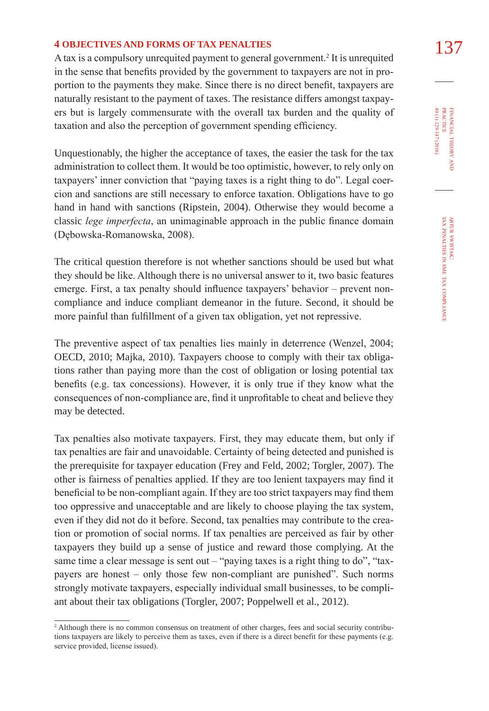**4 OBJECTIVES AND FORMS OF TAX PENALTIES** <br>A tax is a compulsory unrequited payment to general government.<sup>2</sup> It is unrequited **137** in the sense that benefits provided by the government to taxpayers are not in proportion to the payments they make. Since there is no direct benefit, taxpayers are naturally resistant to the payment of taxes. The resistance differs amongst taxpayers but is largely commensurate with the overall tax burden and the quality of taxation and also the perception of government spending efficiency.

Unquestionably, the higher the acceptance of taxes, the easier the task for the tax administration to collect them. It would be too optimistic, however, to rely only on taxpayers' inner conviction that "paying taxes is a right thing to do". Legal coercion and sanctions are still necessary to enforce taxation. Obligations have to go hand in hand with sanctions (Ripstein, 2004). Otherwise they would become a classic *lege imperfecta*, an unimaginable approach in the public finance domain (Dębowska-Romanowska, 2008).

The critical question therefore is not whether sanctions should be used but what they should be like. Although there is no universal answer to it, two basic features emerge. First, a tax penalty should influence taxpayers' behavior – prevent noncompliance and induce compliant demeanor in the future. Second, it should be more painful than fulfillment of a given tax obligation, yet not repressive.

The preventive aspect of tax penalties lies mainly in deterrence (Wenzel, 2004; OECD, 2010; Majka, 2010). Taxpayers choose to comply with their tax obligations rather than paying more than the cost of obligation or losing potential tax benefits (e.g. tax concessions). However, it is only true if they know what the consequences of non-compliance are, find it unprofitable to cheat and believe they may be detected.

Tax penalties also motivate taxpayers. First, they may educate them, but only if tax penalties are fair and unavoidable. Certainty of being detected and punished is the prerequisite for taxpayer education (Frey and Feld, 2002; Torgler, 2007). The other is fairness of penalties applied. If they are too lenient taxpayers may find it beneficial to be non-compliant again. If they are too strict taxpayers may find them too oppressive and unacceptable and are likely to choose playing the tax system, even if they did not do it before. Second, tax penalties may contribute to the creation or promotion of social norms. If tax penalties are perceived as fair by other taxpayers they build up a sense of justice and reward those complying. At the same time a clear message is sent out – "paying taxes is a right thing to do", "taxpayers are honest – only those few non-compliant are punished". Such norms strongly motivate taxpayers, especially individual small businesses, to be compliant about their tax obligations (Torgler, 2007; Poppelwell et al., 2012).

FINANCIAL THEORY PRACTICE 40 (1) 129-147 (2016) 40 (1) 129-147 (2016) practice financial theory in  $\sum_{i=1}^{n}$ 

<sup>&</sup>lt;sup>2</sup> Although there is no common consensus on treatment of other charges, fees and social security contributions taxpayers are likely to perceive them as taxes, even if there is a direct benefit for these payments (e.g. service provided, license issued).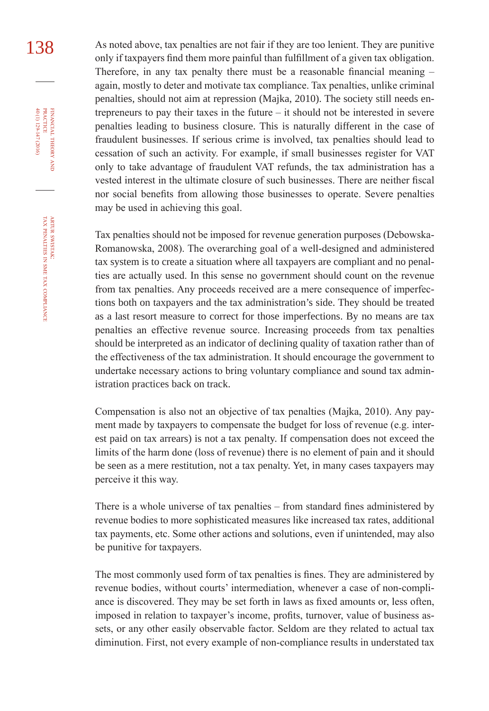138 As noted above, tax penalties are not fair if they are too lenient. They are punitive only if taxpayers find them more painful than fulfillment of a given tax obligation. Therefore, in any tax penalty there must be a reasonable financial meaning  $$ again, mostly to deter and motivate tax compliance. Tax penalties, unlike criminal penalties, should not aim at repression (Majka, 2010). The society still needs entrepreneurs to pay their taxes in the future – it should not be interested in severe penalties leading to business closure. This is naturally different in the case of fraudulent businesses. If serious crime is involved, tax penalties should lead to cessation of such an activity. For example, if small businesses register for VAT only to take advantage of fraudulent VAT refunds, the tax administration has a vested interest in the ultimate closure of such businesses. There are neither fiscal nor social benefits from allowing those businesses to operate. Severe penalties may be used in achieving this goal.

> Tax penalties should not be imposed for revenue generation purposes (Debowska-Romanowska, 2008). The overarching goal of a well-designed and administered tax system is to create a situation where all taxpayers are compliant and no penalties are actually used. In this sense no government should count on the revenue from tax penalties. Any proceeds received are a mere consequence of imperfections both on taxpayers and the tax administration's side. They should be treated as a last resort measure to correct for those imperfections. By no means are tax penalties an effective revenue source. Increasing proceeds from tax penalties should be interpreted as an indicator of declining quality of taxation rather than of the effectiveness of the tax administration. It should encourage the government to undertake necessary actions to bring voluntary compliance and sound tax administration practices back on track.

> Compensation is also not an objective of tax penalties (Majka, 2010). Any payment made by taxpayers to compensate the budget for loss of revenue (e.g. interest paid on tax arrears) is not a tax penalty. If compensation does not exceed the limits of the harm done (loss of revenue) there is no element of pain and it should be seen as a mere restitution, not a tax penalty. Yet, in many cases taxpayers may perceive it this way.

> There is a whole universe of tax penalties – from standard fines administered by revenue bodies to more sophisticated measures like increased tax rates, additional tax payments, etc. Some other actions and solutions, even if unintended, may also be punitive for taxpayers.

> The most commonly used form of tax penalties is fines. They are administered by revenue bodies, without courts' intermediation, whenever a case of non-compliance is discovered. They may be set forth in laws as fixed amounts or, less often, imposed in relation to taxpayer's income, profits, turnover, value of business assets, or any other easily observable factor. Seldom are they related to actual tax diminution. First, not every example of non-compliance results in understated tax

financial

40 (1) 129-147 (2016) practice

40 (1) 129-147 (2016) FINANCIAL THEORY<br>PRACTICE

theory and

tax

compliance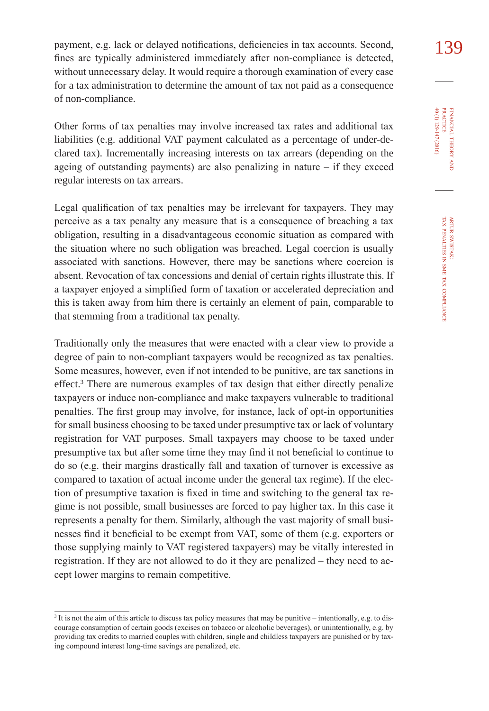payment, e.g. lack or delayed notifications, deficiencies in tax accounts. Second, 139 fines are typically administered immediately after non-compliance is detected, without unnecessary delay. It would require a thorough examination of every case for a tax administration to determine the amount of tax not paid as a consequence of non-compliance.

Other forms of tax penalties may involve increased tax rates and additional tax liabilities (e.g. additional VAT payment calculated as a percentage of under-declared tax). Incrementally increasing interests on tax arrears (depending on the ageing of outstanding payments) are also penalizing in nature – if they exceed regular interests on tax arrears.

Legal qualification of tax penalties may be irrelevant for taxpayers. They may perceive as a tax penalty any measure that is a consequence of breaching a tax obligation, resulting in a disadvantageous economic situation as compared with the situation where no such obligation was breached. Legal coercion is usually associated with sanctions. However, there may be sanctions where coercion is absent. Revocation of tax concessions and denial of certain rights illustrate this. If a taxpayer enjoyed a simplified form of taxation or accelerated depreciation and this is taken away from him there is certainly an element of pain, comparable to that stemming from a traditional tax penalty.

Traditionally only the measures that were enacted with a clear view to provide a degree of pain to non-compliant taxpayers would be recognized as tax penalties. Some measures, however, even if not intended to be punitive, are tax sanctions in effect.<sup>3</sup> There are numerous examples of tax design that either directly penalize taxpayers or induce non-compliance and make taxpayers vulnerable to traditional penalties. The first group may involve, for instance, lack of opt-in opportunities for small business choosing to be taxed under presumptive tax or lack of voluntary registration for VAT purposes. Small taxpayers may choose to be taxed under presumptive tax but after some time they may find it not beneficial to continue to do so (e.g. their margins drastically fall and taxation of turnover is excessive as compared to taxation of actual income under the general tax regime). If the election of presumptive taxation is fixed in time and switching to the general tax regime is not possible, small businesses are forced to pay higher tax. In this case it represents a penalty for them. Similarly, although the vast majority of small businesses find it beneficial to be exempt from VAT, some of them (e.g. exporters or those supplying mainly to VAT registered taxpayers) may be vitally interested in registration. If they are not allowed to do it they are penalized – they need to accept lower margins to remain competitive.

<sup>3</sup> It is not the aim of this article to discuss tax policy measures that may be punitive – intentionally, e.g. to discourage consumption of certain goods (excises on tobacco or alcoholic beverages), or unintentionally, e.g. by providing tax credits to married couples with children, single and childless taxpayers are punished or by taxing compound interest long-time savings are penalized, etc.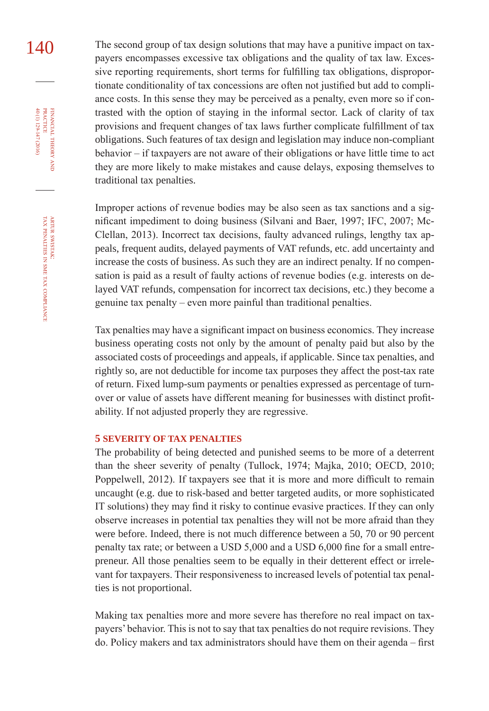140 The second group of tax design solutions that may have a punitive impact on taxpayers encompasses excessive tax obligations and the quality of tax law. Excessive reporting requirements, short terms for fulfilling tax obligations, disproportionate conditionality of tax concessions are often not justified but add to compliance costs. In this sense they may be perceived as a penalty, even more so if contrasted with the option of staying in the informal sector. Lack of clarity of tax provisions and frequent changes of tax laws further complicate fulfillment of tax obligations. Such features of tax design and legislation may induce non-compliant behavior – if taxpayers are not aware of their obligations or have little time to act they are more likely to make mistakes and cause delays, exposing themselves to traditional tax penalties.

> Improper actions of revenue bodies may be also seen as tax sanctions and a significant impediment to doing business (Silvani and Baer, 1997; IFC, 2007; Mc-Clellan, 2013). Incorrect tax decisions, faulty advanced rulings, lengthy tax appeals, frequent audits, delayed payments of VAT refunds, etc. add uncertainty and increase the costs of business. As such they are an indirect penalty. If no compensation is paid as a result of faulty actions of revenue bodies (e.g. interests on delayed VAT refunds, compensation for incorrect tax decisions, etc.) they become a genuine tax penalty – even more painful than traditional penalties.

> Tax penalties may have a significant impact on business economics. They increase business operating costs not only by the amount of penalty paid but also by the associated costs of proceedings and appeals, if applicable. Since tax penalties, and rightly so, are not deductible for income tax purposes they affect the post-tax rate of return. Fixed lump-sum payments or penalties expressed as percentage of turnover or value of assets have different meaning for businesses with distinct profitability. If not adjusted properly they are regressive.

#### **5 seVeRItY of taX PenaltIes**

The probability of being detected and punished seems to be more of a deterrent than the sheer severity of penalty (Tullock, 1974; Majka, 2010; OECD, 2010; Poppelwell, 2012). If taxpayers see that it is more and more difficult to remain uncaught (e.g. due to risk-based and better targeted audits, or more sophisticated IT solutions) they may find it risky to continue evasive practices. If they can only observe increases in potential tax penalties they will not be more afraid than they were before. Indeed, there is not much difference between a 50, 70 or 90 percent penalty tax rate; or between a USD 5,000 and a USD 6,000 fine for a small entrepreneur. All those penalties seem to be equally in their detterent effect or irrelevant for taxpayers. Their responsiveness to increased levels of potential tax penalties is not proportional.

Making tax penalties more and more severe has therefore no real impact on taxpayers' behavior. This is not to say that tax penalties do not require revisions. They do. Policy makers and tax administrators should have them on their agenda – first

financial

40 (1) 129-147 (2016) practice

40 (1) 129-147 (2016) FINANCIAL THEORY<br>PRACTICE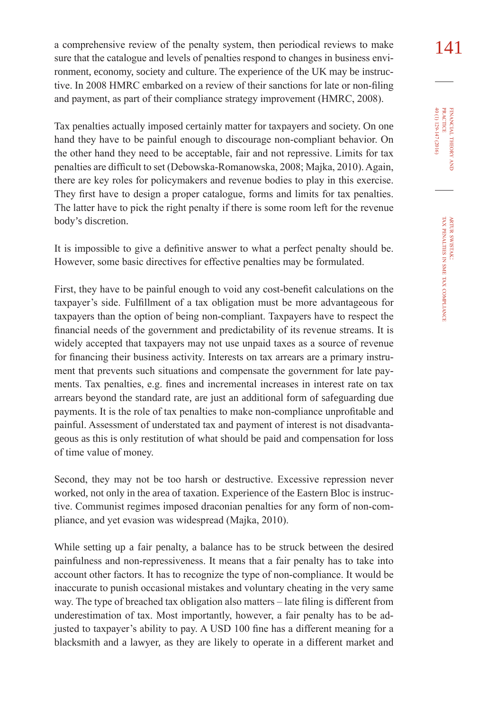a comprehensive review of the penalty system, then periodical reviews to make  $141$ sure that the catalogue and levels of penalties respond to changes in business environment, economy, society and culture. The experience of the UK may be instructive. In 2008 HMRC embarked on a review of their sanctions for late or non-filing and payment, as part of their compliance strategy improvement (HMRC, 2008).

Tax penalties actually imposed certainly matter for taxpayers and society. On one hand they have to be painful enough to discourage non-compliant behavior. On the other hand they need to be acceptable, fair and not repressive. Limits for tax penalties are difficult to set (Debowska-Romanowska, 2008; Majka, 2010). Again, there are key roles for policymakers and revenue bodies to play in this exercise. They first have to design a proper catalogue, forms and limits for tax penalties. The latter have to pick the right penalty if there is some room left for the revenue body's discretion.

It is impossible to give a definitive answer to what a perfect penalty should be. However, some basic directives for effective penalties may be formulated.

First, they have to be painful enough to void any cost-benefit calculations on the taxpayer's side. Fulfillment of a tax obligation must be more advantageous for taxpayers than the option of being non-compliant. Taxpayers have to respect the financial needs of the government and predictability of its revenue streams. It is widely accepted that taxpayers may not use unpaid taxes as a source of revenue for financing their business activity. Interests on tax arrears are a primary instrument that prevents such situations and compensate the government for late payments. Tax penalties, e.g. fines and incremental increases in interest rate on tax arrears beyond the standard rate, are just an additional form of safeguarding due payments. It is the role of tax penalties to make non-compliance unprofitable and painful. Assessment of understated tax and payment of interest is not disadvantageous as this is only restitution of what should be paid and compensation for loss of time value of money.

Second, they may not be too harsh or destructive. Excessive repression never worked, not only in the area of taxation. Experience of the Eastern Bloc is instructive. Communist regimes imposed draconian penalties for any form of non-compliance, and yet evasion was widespread (Majka, 2010).

While setting up a fair penalty, a balance has to be struck between the desired painfulness and non-repressiveness. It means that a fair penalty has to take into account other factors. It has to recognize the type of non-compliance. It would be inaccurate to punish occasional mistakes and voluntary cheating in the very same way. The type of breached tax obligation also matters – late filing is different from underestimation of tax. Most importantly, however, a fair penalty has to be adjusted to taxpayer's ability to pay. A USD 100 fine has a different meaning for a blacksmith and a lawyer, as they are likely to operate in a different market and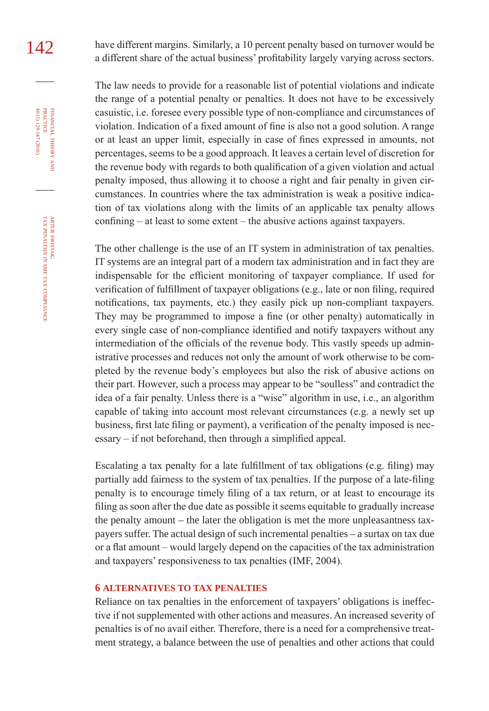142 have different margins. Similarly, a 10 percent penalty based on turnover would be a different share of the actual business' profitability largely varying across sectors.

> The law needs to provide for a reasonable list of potential violations and indicate the range of a potential penalty or penalties. It does not have to be excessively casuistic, i.e. foresee every possible type of non-compliance and circumstances of violation. Indication of a fixed amount of fine is also not a good solution. A range or at least an upper limit, especially in case of fines expressed in amounts, not percentages, seems to be a good approach. It leaves a certain level of discretion for the revenue body with regards to both qualification of a given violation and actual penalty imposed, thus allowing it to choose a right and fair penalty in given circumstances. In countries where the tax administration is weak a positive indication of tax violations along with the limits of an applicable tax penalty allows confining – at least to some extent – the abusive actions against taxpayers.

> The other challenge is the use of an IT system in administration of tax penalties. IT systems are an integral part of a modern tax administration and in fact they are indispensable for the efficient monitoring of taxpayer compliance. If used for verification of fulfillment of taxpayer obligations (e.g., late or non filing, required notifications, tax payments, etc.) they easily pick up non-compliant taxpayers. They may be programmed to impose a fine (or other penalty) automatically in every single case of non-compliance identified and notify taxpayers without any intermediation of the officials of the revenue body. This vastly speeds up administrative processes and reduces not only the amount of work otherwise to be completed by the revenue body's employees but also the risk of abusive actions on their part. However, such a process may appear to be "soulless" and contradict the idea of a fair penalty. Unless there is a "wise" algorithm in use, i.e., an algorithm capable of taking into account most relevant circumstances (e.g. a newly set up business, first late filing or payment), a verification of the penalty imposed is necessary – if not beforehand, then through a simplified appeal.

> Escalating a tax penalty for a late fulfillment of tax obligations (e.g. filing) may partially add fairness to the system of tax penalties. If the purpose of a late-filing penalty is to encourage timely filing of a tax return, or at least to encourage its filing as soon after the due date as possible it seems equitable to gradually increase the penalty amount – the later the obligation is met the more unpleasantness taxpayers suffer. The actual design of such incremental penalties – a surtax on tax due or a flat amount – would largely depend on the capacities of the tax administration and taxpayers' responsiveness to tax penalties (IMF, 2004).

#### **6 alteRnatIVes to taX PenaltIes**

Reliance on tax penalties in the enforcement of taxpayers' obligations is ineffective if not supplemented with other actions and measures. An increased severity of penalties is of no avail either. Therefore, there is a need for a comprehensive treatment strategy, a balance between the use of penalties and other actions that could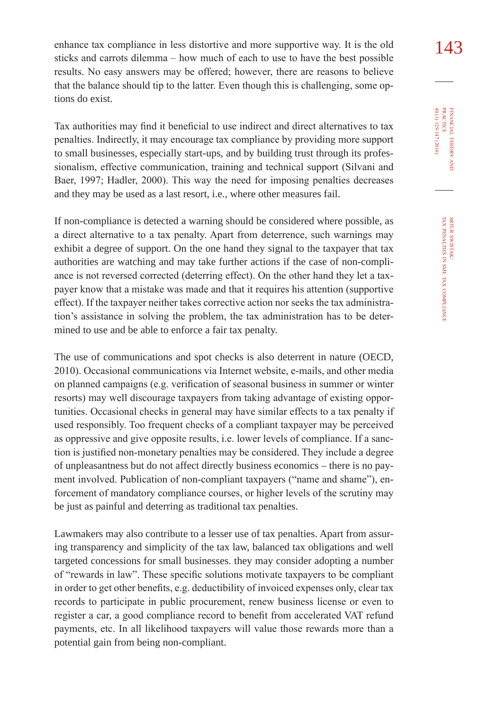enhance tax compliance in less distortive and more supportive way. It is the old  $143$ sticks and carrots dilemma – how much of each to use to have the best possible results. No easy answers may be offered; however, there are reasons to believe that the balance should tip to the latter. Even though this is challenging, some options do exist.

Tax authorities may find it beneficial to use indirect and direct alternatives to tax penalties. Indirectly, it may encourage tax compliance by providing more support to small businesses, especially start-ups, and by building trust through its professionalism, effective communication, training and technical support (Silvani and Baer, 1997; Hadler, 2000). This way the need for imposing penalties decreases and they may be used as a last resort, i.e., where other measures fail.

If non-compliance is detected a warning should be considered where possible, as a direct alternative to a tax penalty. Apart from deterrence, such warnings may exhibit a degree of support. On the one hand they signal to the taxpayer that tax authorities are watching and may take further actions if the case of non-compliance is not reversed corrected (deterring effect). On the other hand they let a taxpayer know that a mistake was made and that it requires his attention (supportive effect). If the taxpayer neither takes corrective action nor seeks the tax administration's assistance in solving the problem, the tax administration has to be determined to use and be able to enforce a fair tax penalty.

The use of communications and spot checks is also deterrent in nature (OECD, 2010). Occasional communications via Internet website, e-mails, and other media on planned campaigns (e.g. verification of seasonal business in summer or winter resorts) may well discourage taxpayers from taking advantage of existing opportunities. Occasional checks in general may have similar effects to a tax penalty if used responsibly. Too frequent checks of a compliant taxpayer may be perceived as oppressive and give opposite results, i.e. lower levels of compliance. If a sanction is justified non-monetary penalties may be considered. They include a degree of unpleasantness but do not affect directly business economics – there is no payment involved. Publication of non-compliant taxpayers ("name and shame"), enforcement of mandatory compliance courses, or higher levels of the scrutiny may be just as painful and deterring as traditional tax penalties.

Lawmakers may also contribute to a lesser use of tax penalties. Apart from assuring transparency and simplicity of the tax law, balanced tax obligations and well targeted concessions for small businesses. they may consider adopting a number of "rewards in law". These specific solutions motivate taxpayers to be compliant in order to get other benefits, e.g. deductibility of invoiced expenses only, clear tax records to participate in public procurement, renew business license or even to register a car, a good compliance record to benefit from accelerated VAT refund payments, etc. In all likelihood taxpayers will value those rewards more than a potential gain from being non-compliant.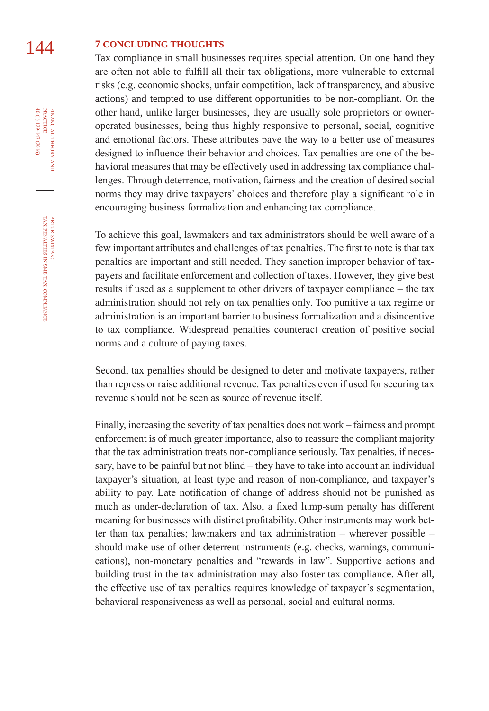# 144 **7 CONCLUDING THOUGHTS**

Tax compliance in small businesses requires special attention. On one hand they are often not able to fulfill all their tax obligations, more vulnerable to external risks (e.g. economic shocks, unfair competition, lack of transparency, and abusive actions) and tempted to use different opportunities to be non-compliant. On the other hand, unlike larger businesses, they are usually sole proprietors or owneroperated businesses, being thus highly responsive to personal, social, cognitive and emotional factors. These attributes pave the way to a better use of measures designed to influence their behavior and choices. Tax penalties are one of the behavioral measures that may be effectively used in addressing tax compliance challenges. Through deterrence, motivation, fairness and the creation of desired social norms they may drive taxpayers' choices and therefore play a significant role in encouraging business formalization and enhancing tax compliance.

To achieve this goal, lawmakers and tax administrators should be well aware of a few important attributes and challenges of tax penalties. The first to note is that tax penalties are important and still needed. They sanction improper behavior of taxpayers and facilitate enforcement and collection of taxes. However, they give best results if used as a supplement to other drivers of taxpayer compliance – the tax administration should not rely on tax penalties only. Too punitive a tax regime or administration is an important barrier to business formalization and a disincentive to tax compliance. Widespread penalties counteract creation of positive social norms and a culture of paying taxes.

Second, tax penalties should be designed to deter and motivate taxpayers, rather than repress or raise additional revenue. Tax penalties even if used for securing tax revenue should not be seen as source of revenue itself.

Finally, increasing the severity of tax penalties does not work – fairness and prompt enforcement is of much greater importance, also to reassure the compliant majority that the tax administration treats non-compliance seriously. Tax penalties, if necessary, have to be painful but not blind – they have to take into account an individual taxpayer's situation, at least type and reason of non-compliance, and taxpayer's ability to pay. Late notification of change of address should not be punished as much as under-declaration of tax. Also, a fixed lump-sum penalty has different meaning for businesses with distinct profitability. Other instruments may work better than tax penalties; lawmakers and tax administration – wherever possible – should make use of other deterrent instruments (e.g. checks, warnings, communications), non-monetary penalties and "rewards in law". Supportive actions and building trust in the tax administration may also foster tax compliance. After all, the effective use of tax penalties requires knowledge of taxpayer's segmentation, behavioral responsiveness as well as personal, social and cultural norms.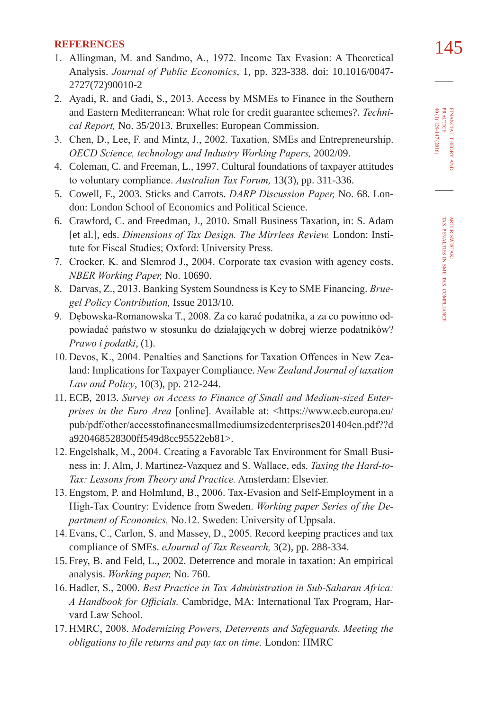- **REFERENCES**<br>
1. Allingman, M. and Sandmo, A., 1972. Income Tax Evasion: A Theoretical **145** Analysis. *Journal of Public Economics*, 1, pp. 323-338. doi: [10.1016/0047-](http://dx.doi.org/10.1016/0047-2727(72)90010-2) [2727\(72\)90010-2](http://dx.doi.org/10.1016/0047-2727(72)90010-2)
- 2. Ayadi, R. and Gadi, S., 2013. Access by MSMEs to Finance in the Southern and Eastern Mediterranean: What role for credit guarantee schemes?. *Technical Report,* No. 35/2013. Bruxelles: European Commission.
- 3. Chen, D., Lee, F. and Mintz, J., 2002. Taxation, SMEs and Entrepreneurship. *OECD Science, technology and Industry Working Papers,* 2002/09.
- 4. Coleman, C. and Freeman, L., 1997. Cultural foundations of taxpayer attitudes to voluntary compliance. *Australian Tax Forum,* 13(3), pp. 311-336.
- 5. Cowell, F., 2003. Sticks and Carrots. *DARP Discussion Paper,* No. 68. London: London School of Economics and Political Science.
- 6. Crawford, C. and Freedman, J., 2010. Small Business Taxation, in: S. Adam [et al.], eds. *Dimensions of Tax Design. The Mirrlees Review.* London: Institute for Fiscal Studies; Oxford: University Press.
- 7. Crocker, K. and Slemrod J., 2004. Corporate tax evasion with agency costs. *NBER Working Paper,* No. 10690.
- 8. Darvas, Z., 2013. Banking System Soundness is Key to SME Financing. *Bruegel Policy Contribution,* Issue 2013/10.
- 9. Dębowska-Romanowska T., 2008. Za co karać podatnika, a za co powinno odpowiadać państwo w stosunku do działających w dobrej wierze podatników? *Prawo i podatki*, (1).
- 10. Devos, K., 2004. Penalties and Sanctions for Taxation Offences in New Zealand: Implications for Taxpayer Compliance. *New Zealand Journal of taxation Law and Policy*, 10(3), pp. 212-244.
- 11. ECB, 2013. *Survey on Access to Finance of Small and Medium-sized Enterprises in the Euro Area* [online]. Available at: [<https://www.ecb.europa.eu/](https://www.ecb.europa.eu/pub/pdf/other/accesstofinancesmallmediumsizedenterprises201404en.pdf??da920468528300ff549d8cc95522eb81) [pub/pdf/other/accesstofinancesmallmediumsizedenterprises201404en.pdf??d](https://www.ecb.europa.eu/pub/pdf/other/accesstofinancesmallmediumsizedenterprises201404en.pdf??da920468528300ff549d8cc95522eb81) [a920468528300ff549d8cc95522eb81](https://www.ecb.europa.eu/pub/pdf/other/accesstofinancesmallmediumsizedenterprises201404en.pdf??da920468528300ff549d8cc95522eb81)>.
- 12. Engelshalk, M., 2004. Creating a Favorable Tax Environment for Small Business in: J. Alm, J. Martinez-Vazquez and S. Wallace, eds. *Taxing the Hard-to-Tax: Lessons from Theory and Practice.* Amsterdam: Elsevier.
- 13. Engstom, P. and Holmlund, B., 2006. Tax-Evasion and Self-Employment in a High-Tax Country: Evidence from Sweden. *Working paper Series of the Department of Economics,* No.12. Sweden: University of Uppsala.
- 14. Evans, C., Carlon, S. and Massey, D., 2005. Record keeping practices and tax compliance of SMEs. *eJournal of Tax Research,* 3(2), pp. 288-334.
- 15. Frey, B. and Feld, L., 2002. Deterrence and morale in taxation: An empirical analysis. *Working paper,* No. 760.
- 16. Hadler, S., 2000. *Best Practice in Tax Administration in Sub-Saharan Africa: A Handbook for Officials.* Cambridge, MA: International Tax Program, Harvard Law School.
- 17. HMRC, 2008. *Modernizing Powers, Deterrents and Safeguards. Meeting the obligations to file returns and pay tax on time.* London: HMRC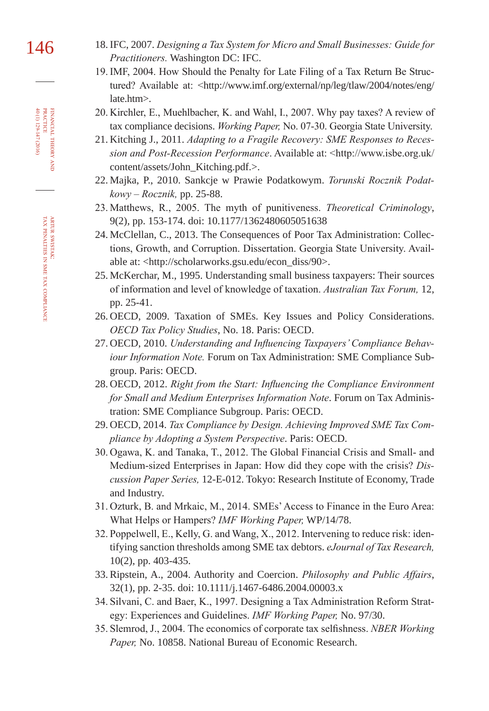- 146 18. IFC, 2007. *Designing a Tax System for Micro and Small Businesses: Guide for Practitioners.* Washington DC: IFC.
	- 19. IMF, 2004. How Should the Penalty for Late Filing of a Tax Return Be Structured? Available at: <[http://www.imf.org/external/np/leg/tlaw/2004/notes/eng/](http://www.imf.org/external/np/leg/tlaw/2004/notes/eng/late.htm) [late.htm>](http://www.imf.org/external/np/leg/tlaw/2004/notes/eng/late.htm).
	- 20. Kirchler, E., Muehlbacher, K. and Wahl, I., 2007. Why pay taxes? A review of tax compliance decisions. *Working Paper,* No. 07-30. Georgia State University.
	- 21. Kitching J., 2011. *Adapting to a Fragile Recovery: SME Responses to Recession and Post-Recession Performance*. Available at: [<http://www.isbe.org.uk/](http://www.isbe.org.uk/content/assets/John_Kitching.pdf) [content/assets/John\\_Kitching.pdf](http://www.isbe.org.uk/content/assets/John_Kitching.pdf).>.
	- 22. Majka, P., 2010. Sankcje w Prawie Podatkowym. *Torunski Rocznik Podatkowy – Rocznik,* pp. 25-88.
	- 23. Matthews, R., 2005. The myth of punitiveness. *Theoretical Criminology*, 9(2), pp. 153-174. doi: [10.1177/1362480605051638](http://dx.doi.org/10.1177/1362480605051638)
	- 24. McClellan, C., 2013. The Consequences of Poor Tax Administration: Collections, Growth, and Corruption. Dissertation. Georgia State University. Available at: <http://scholarworks.gsu.edu/econ\_diss/90>.
	- 25. McKerchar, M., 1995. Understanding small business taxpayers: Their sources of information and level of knowledge of taxation. *Australian Tax Forum,* 12, pp. 25-41.
	- 26. OECD, 2009. Taxation of SMEs. Key Issues and Policy Considerations. *OECD Tax Policy Studies*, No. 18. Paris: OECD.
	- 27. OECD, 2010. *Understanding and Influencing Taxpayers' Compliance Behaviour Information Note.* Forum on Tax Administration: SME Compliance Subgroup. Paris: OECD.
	- 28. OECD, 2012. *Right from the Start: Influencing the Compliance Environment for Small and Medium Enterprises Information Note*. Forum on Tax Administration: SME Compliance Subgroup. Paris: OECD.
	- 29. OECD, 2014. *Tax Compliance by Design. Achieving Improved SME Tax Compliance by Adopting a System Perspective*. Paris: OECD.
	- 30. Ogawa, K. and Tanaka, T., 2012. The Global Financial Crisis and Small- and Medium-sized Enterprises in Japan: How did they cope with the crisis? *Discussion Paper Series,* 12-E-012. Tokyo: Research Institute of Economy, Trade and Industry.
	- 31. Ozturk, B. and Mrkaic, M., 2014. SMEs' Access to Finance in the Euro Area: What Helps or Hampers? *IMF Working Paper,* WP/14/78.
	- 32. Poppelwell, E., Kelly, G. and Wang, X., 2012. Intervening to reduce risk: identifying sanction thresholds among SME tax debtors. *eJournal of Tax Research,*  10(2), pp. 403-435.
	- 33. Ripstein, A., 2004. Authority and Coercion. *Philosophy and Public Affairs*, 32(1), pp. 2-35. doi: [10.1111/j.1467-6486.2004.00003.x](http://dx.doi.org/10.1111/j.1467-6486.2004.00003.x)
	- 34. Silvani, C. and Baer, K., 1997. Designing a Tax Administration Reform Strategy: Experiences and Guidelines. *IMF Working Paper,* No. 97/30.
	- 35. Slemrod, J., 2004. The economics of corporate tax selfishness. *NBER Working Paper,* No. 10858. National Bureau of Economic Research.

FINANCIAL THEORY<br>PRACTICE<br>40 (1) 129-147 (2016) 40 (1) 129-147 (2016) practice financial theory and